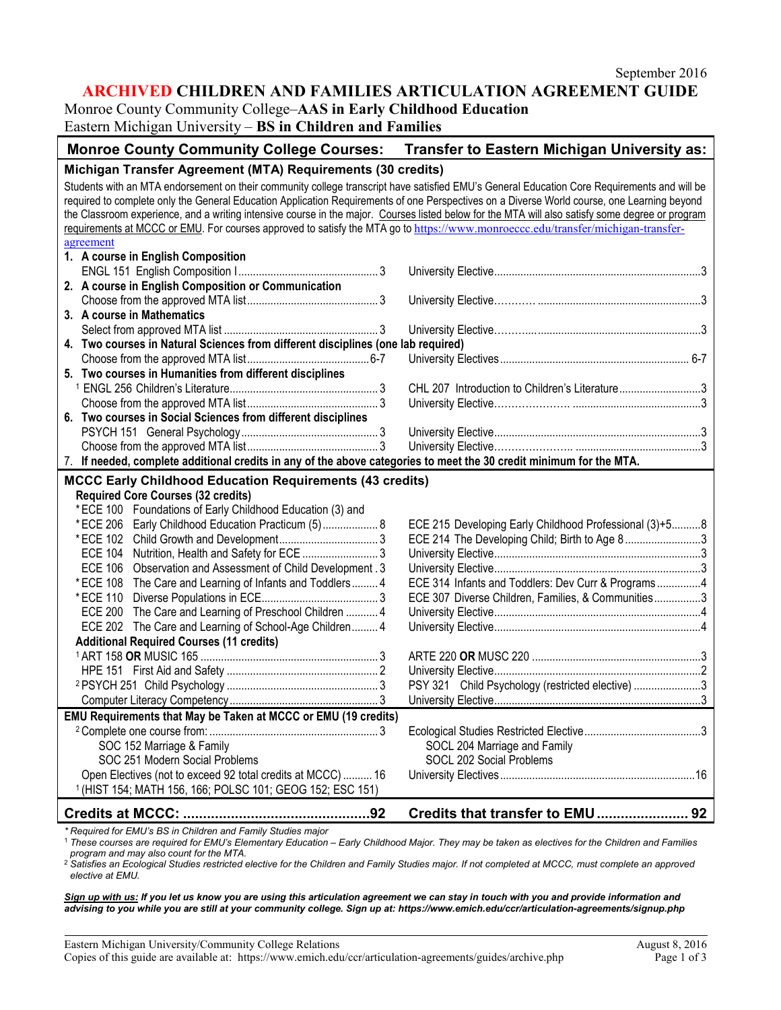# **ARCHIVED CHILDREN AND FAMILIES ARTICULATION AGREEMENT GUIDE**

Monroe County Community College–**AAS in Early Childhood Education** Eastern Michigan University – **BS in Children and Families**

| Monroe County Community College Courses: Transfer to Eastern Michigan University as:                                                                                                                                                                                                                                                                                                                                                                                                                                                                                               |                                                        |
|------------------------------------------------------------------------------------------------------------------------------------------------------------------------------------------------------------------------------------------------------------------------------------------------------------------------------------------------------------------------------------------------------------------------------------------------------------------------------------------------------------------------------------------------------------------------------------|--------------------------------------------------------|
| Michigan Transfer Agreement (MTA) Requirements (30 credits)                                                                                                                                                                                                                                                                                                                                                                                                                                                                                                                        |                                                        |
| Students with an MTA endorsement on their community college transcript have satisfied EMU's General Education Core Requirements and will be<br>required to complete only the General Education Application Requirements of one Perspectives on a Diverse World course, one Learning beyond<br>the Classroom experience, and a writing intensive course in the major. Courses listed below for the MTA will also satisfy some degree or program<br>requirements at MCCC or EMU. For courses approved to satisfy the MTA go to https://www.monroeccc.edu/transfer/michigan-transfer- |                                                        |
| agreement                                                                                                                                                                                                                                                                                                                                                                                                                                                                                                                                                                          |                                                        |
| 1. A course in English Composition                                                                                                                                                                                                                                                                                                                                                                                                                                                                                                                                                 |                                                        |
|                                                                                                                                                                                                                                                                                                                                                                                                                                                                                                                                                                                    |                                                        |
| 2. A course in English Composition or Communication                                                                                                                                                                                                                                                                                                                                                                                                                                                                                                                                |                                                        |
| 3. A course in Mathematics                                                                                                                                                                                                                                                                                                                                                                                                                                                                                                                                                         |                                                        |
|                                                                                                                                                                                                                                                                                                                                                                                                                                                                                                                                                                                    |                                                        |
| 4. Two courses in Natural Sciences from different disciplines (one lab required)                                                                                                                                                                                                                                                                                                                                                                                                                                                                                                   |                                                        |
|                                                                                                                                                                                                                                                                                                                                                                                                                                                                                                                                                                                    |                                                        |
| 5. Two courses in Humanities from different disciplines                                                                                                                                                                                                                                                                                                                                                                                                                                                                                                                            |                                                        |
|                                                                                                                                                                                                                                                                                                                                                                                                                                                                                                                                                                                    | CHL 207 Introduction to Children's Literature3         |
|                                                                                                                                                                                                                                                                                                                                                                                                                                                                                                                                                                                    |                                                        |
| 6. Two courses in Social Sciences from different disciplines                                                                                                                                                                                                                                                                                                                                                                                                                                                                                                                       |                                                        |
|                                                                                                                                                                                                                                                                                                                                                                                                                                                                                                                                                                                    |                                                        |
|                                                                                                                                                                                                                                                                                                                                                                                                                                                                                                                                                                                    |                                                        |
| 7. If needed, complete additional credits in any of the above categories to meet the 30 credit minimum for the MTA.                                                                                                                                                                                                                                                                                                                                                                                                                                                                |                                                        |
| <b>MCCC Early Childhood Education Requirements (43 credits)</b>                                                                                                                                                                                                                                                                                                                                                                                                                                                                                                                    |                                                        |
| <b>Required Core Courses (32 credits)</b>                                                                                                                                                                                                                                                                                                                                                                                                                                                                                                                                          |                                                        |
| *ECE 100 Foundations of Early Childhood Education (3) and                                                                                                                                                                                                                                                                                                                                                                                                                                                                                                                          |                                                        |
| * ECE 206 Early Childhood Education Practicum (5) 8                                                                                                                                                                                                                                                                                                                                                                                                                                                                                                                                | ECE 215 Developing Early Childhood Professional (3)+58 |
|                                                                                                                                                                                                                                                                                                                                                                                                                                                                                                                                                                                    | ECE 214 The Developing Child; Birth to Age 83          |
| ECE 104 Nutrition, Health and Safety for ECE 3                                                                                                                                                                                                                                                                                                                                                                                                                                                                                                                                     |                                                        |
| ECE 106 Observation and Assessment of Child Development. 3                                                                                                                                                                                                                                                                                                                                                                                                                                                                                                                         |                                                        |
| * ECE 108 The Care and Learning of Infants and Toddlers 4                                                                                                                                                                                                                                                                                                                                                                                                                                                                                                                          | ECE 314 Infants and Toddlers: Dev Curr & Programs4     |
|                                                                                                                                                                                                                                                                                                                                                                                                                                                                                                                                                                                    | ECE 307 Diverse Children, Families, & Communities3     |
| ECE 200 The Care and Learning of Preschool Children  4<br>ECE 202 The Care and Learning of School-Age Children 4                                                                                                                                                                                                                                                                                                                                                                                                                                                                   |                                                        |
| <b>Additional Required Courses (11 credits)</b>                                                                                                                                                                                                                                                                                                                                                                                                                                                                                                                                    |                                                        |
|                                                                                                                                                                                                                                                                                                                                                                                                                                                                                                                                                                                    |                                                        |
|                                                                                                                                                                                                                                                                                                                                                                                                                                                                                                                                                                                    |                                                        |
|                                                                                                                                                                                                                                                                                                                                                                                                                                                                                                                                                                                    | PSY 321 Child Psychology (restricted elective) 3       |
|                                                                                                                                                                                                                                                                                                                                                                                                                                                                                                                                                                                    |                                                        |
| EMU Requirements that May be Taken at MCCC or EMU (19 credits)                                                                                                                                                                                                                                                                                                                                                                                                                                                                                                                     |                                                        |
|                                                                                                                                                                                                                                                                                                                                                                                                                                                                                                                                                                                    |                                                        |
| SOC 152 Marriage & Family                                                                                                                                                                                                                                                                                                                                                                                                                                                                                                                                                          | SOCL 204 Marriage and Family                           |
| SOC 251 Modern Social Problems                                                                                                                                                                                                                                                                                                                                                                                                                                                                                                                                                     | SOCL 202 Social Problems                               |
| Open Electives (not to exceed 92 total credits at MCCC)  16                                                                                                                                                                                                                                                                                                                                                                                                                                                                                                                        |                                                        |
| <sup>1</sup> (HIST 154; MATH 156, 166; POLSC 101; GEOG 152; ESC 151)                                                                                                                                                                                                                                                                                                                                                                                                                                                                                                               |                                                        |
|                                                                                                                                                                                                                                                                                                                                                                                                                                                                                                                                                                                    | Credits that transfer to EMU 92                        |

*\* Required for EMU's BS in Children and Family Studies major*

<sup>1</sup> *These courses are required for EMU's Elementary Education – Early Childhood Major. They may be taken as electives for the Children and Families* 

*program and may also count for the MTA.* <sup>2</sup> *Satisfies an Ecological Studies restricted elective for the Children and Family Studies major. If not completed at MCCC, must complete an approved elective at EMU.*

*Sign up with us: If you let us know you are using this articulation agreement we can stay in touch with you and provide information and advising to you while you are still at your community college. Sign up at: https://www.emich.edu/ccr/articulation-agreements/signup.php*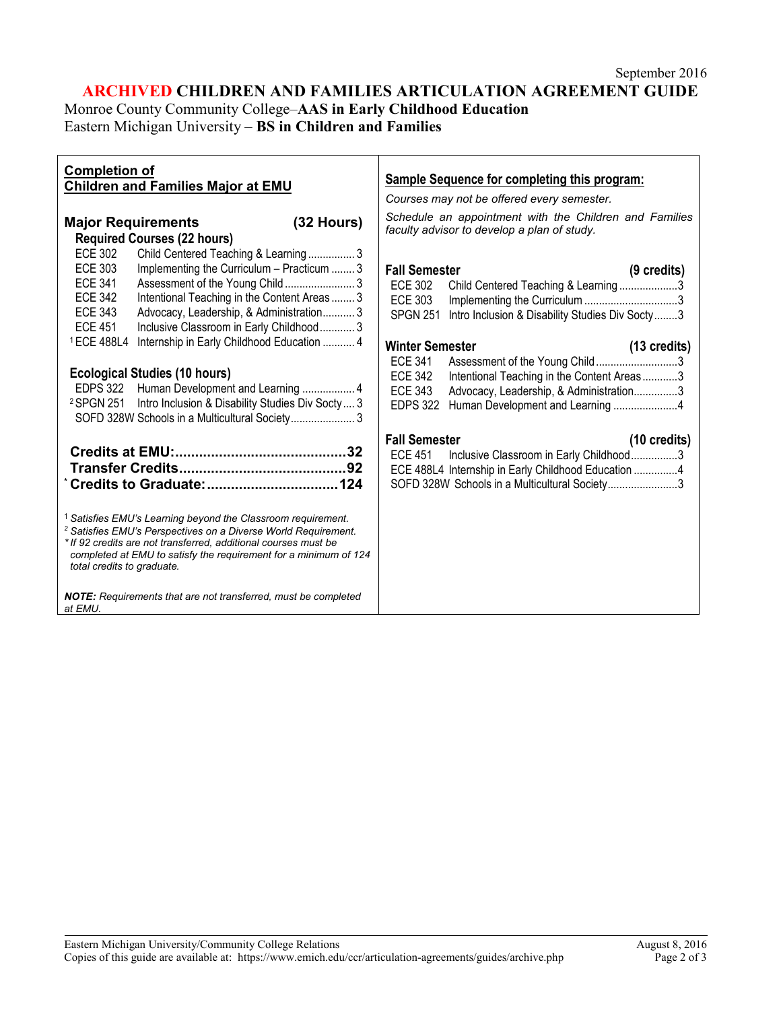## **ARCHIVED CHILDREN AND FAMILIES ARTICULATION AGREEMENT GUIDE** Monroe County Community College–**AAS in Early Childhood Education** Eastern Michigan University – **BS in Children and Families**

| <b>Completion of</b>                                                                                                                                                                                                                                                                                                                                                      | <b>Sample Sequence for completing this program:</b>                                                                                                                                                                                                                                      |
|---------------------------------------------------------------------------------------------------------------------------------------------------------------------------------------------------------------------------------------------------------------------------------------------------------------------------------------------------------------------------|------------------------------------------------------------------------------------------------------------------------------------------------------------------------------------------------------------------------------------------------------------------------------------------|
| <b>Children and Families Major at EMU</b>                                                                                                                                                                                                                                                                                                                                 | Courses may not be offered every semester.                                                                                                                                                                                                                                               |
| $(32$ Hours)<br><b>Major Requirements</b><br><b>Required Courses (22 hours)</b>                                                                                                                                                                                                                                                                                           | Schedule an appointment with the Children and Families<br>faculty advisor to develop a plan of study.                                                                                                                                                                                    |
| <b>ECE 302</b><br>Child Centered Teaching & Learning 3<br><b>ECE 303</b><br>Implementing the Curriculum - Practicum  3<br><b>ECE 341</b><br>Assessment of the Young Child 3<br><b>ECE 342</b><br>Intentional Teaching in the Content Areas  3<br><b>ECE 343</b><br>Advocacy, Leadership, & Administration 3<br><b>ECE 451</b><br>Inclusive Classroom in Early Childhood 3 | <b>Fall Semester</b><br>$(9 \text{ credits})$<br><b>ECE 302</b><br>Child Centered Teaching & Learning3<br><b>ECE 303</b><br>Intro Inclusion & Disability Studies Div Socty3<br><b>SPGN 251</b>                                                                                           |
| <sup>1</sup> ECE 488L4<br>Internship in Early Childhood Education  4<br><b>Ecological Studies (10 hours)</b><br>EDPS 322 Human Development and Learning  4<br><sup>2</sup> SPGN 251 Intro Inclusion & Disability Studies Div Socty 3<br>SOFD 328W Schools in a Multicultural Society 3                                                                                    | <b>Winter Semester</b><br>$(13 \text{ credits})$<br>Assessment of the Young Child3<br><b>ECE 341</b><br><b>ECE 342</b><br>Intentional Teaching in the Content Areas3<br><b>ECE 343</b><br>Advocacy, Leadership, & Administration3<br><b>EDPS 322</b><br>Human Development and Learning 4 |
|                                                                                                                                                                                                                                                                                                                                                                           | <b>Fall Semester</b><br>$(10 \text{ credits})$<br>Inclusive Classroom in Early Childhood3<br><b>ECE 451</b><br>ECE 488L4 Internship in Early Childhood Education 4<br>SOFD 328W Schools in a Multicultural Society3                                                                      |
| <sup>1</sup> Satisfies EMU's Learning beyond the Classroom requirement.<br><sup>2</sup> Satisfies EMU's Perspectives on a Diverse World Requirement.<br>* If 92 credits are not transferred, additional courses must be<br>completed at EMU to satisfy the requirement for a minimum of 124<br>total credits to graduate.                                                 |                                                                                                                                                                                                                                                                                          |
| NOTE: Requirements that are not transferred, must be completed<br>at EMU.                                                                                                                                                                                                                                                                                                 |                                                                                                                                                                                                                                                                                          |